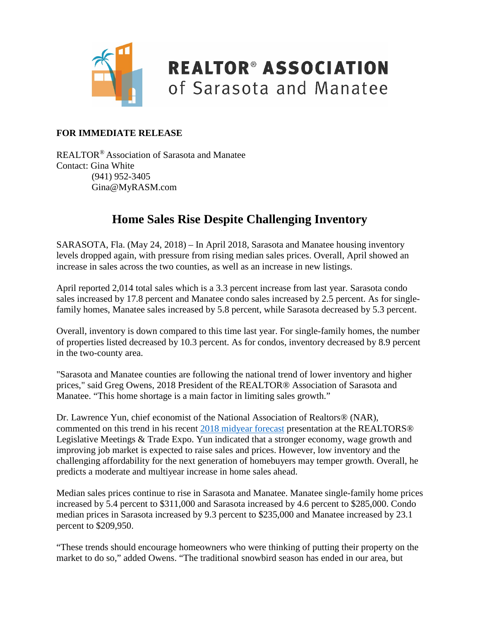

### **REALTOR® ASSOCIATION** of Sarasota and Manatee

#### **FOR IMMEDIATE RELEASE**

REALTOR® Association of Sarasota and Manatee Contact: Gina White (941) 952-3405 Gina@MyRASM.com

#### **Home Sales Rise Despite Challenging Inventory**

SARASOTA, Fla. (May 24, 2018) – In April 2018, Sarasota and Manatee housing inventory levels dropped again, with pressure from rising median sales prices. Overall, April showed an increase in sales across the two counties, as well as an increase in new listings.

April reported 2,014 total sales which is a 3.3 percent increase from last year. Sarasota condo sales increased by 17.8 percent and Manatee condo sales increased by 2.5 percent. As for singlefamily homes, Manatee sales increased by 5.8 percent, while Sarasota decreased by 5.3 percent.

Overall, inventory is down compared to this time last year. For single-family homes, the number of properties listed decreased by 10.3 percent. As for condos, inventory decreased by 8.9 percent in the two-county area.

"Sarasota and Manatee counties are following the national trend of lower inventory and higher prices," said Greg Owens, 2018 President of the REALTOR® Association of Sarasota and Manatee. "This home shortage is a main factor in limiting sales growth."

Dr. Lawrence Yun, chief economist of the National Association of Realtors® (NAR), commented on this trend in his recent [2018 midyear forecast](https://www.nar.realtor/newsroom/realtors-midyear-forecast-home-sales-prices-to-rise-despite-inventory-affordability-challenges) presentation at the REALTORS® Legislative Meetings & Trade Expo. Yun indicated that a stronger economy, wage growth and improving job market is expected to raise sales and prices. However, low inventory and the challenging affordability for the next generation of homebuyers may temper growth. Overall, he predicts a moderate and multiyear increase in home sales ahead.

Median sales prices continue to rise in Sarasota and Manatee. Manatee single-family home prices increased by 5.4 percent to \$311,000 and Sarasota increased by 4.6 percent to \$285,000. Condo median prices in Sarasota increased by 9.3 percent to \$235,000 and Manatee increased by 23.1 percent to \$209,950.

"These trends should encourage homeowners who were thinking of putting their property on the market to do so," added Owens. "The traditional snowbird season has ended in our area, but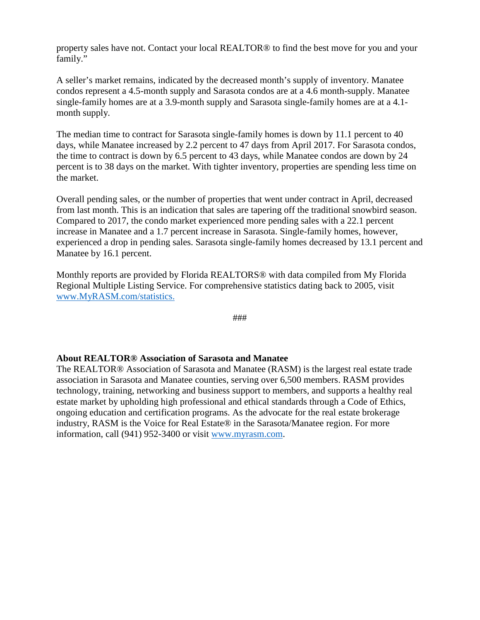property sales have not. Contact your local REALTOR® to find the best move for you and your family."

A seller's market remains, indicated by the decreased month's supply of inventory. Manatee condos represent a 4.5-month supply and Sarasota condos are at a 4.6 month-supply. Manatee single-family homes are at a 3.9-month supply and Sarasota single-family homes are at a 4.1 month supply.

The median time to contract for Sarasota single-family homes is down by 11.1 percent to 40 days, while Manatee increased by 2.2 percent to 47 days from April 2017. For Sarasota condos, the time to contract is down by 6.5 percent to 43 days, while Manatee condos are down by 24 percent is to 38 days on the market. With tighter inventory, properties are spending less time on the market.

Overall pending sales, or the number of properties that went under contract in April, decreased from last month. This is an indication that sales are tapering off the traditional snowbird season. Compared to 2017, the condo market experienced more pending sales with a 22.1 percent increase in Manatee and a 1.7 percent increase in Sarasota. Single-family homes, however, experienced a drop in pending sales. Sarasota single-family homes decreased by 13.1 percent and Manatee by 16.1 percent.

Monthly reports are provided by Florida REALTORS® with data compiled from My Florida Regional Multiple Listing Service. For comprehensive statistics dating back to 2005, visit [www.MyRASM.com/statistics.](http://www.myrasm.com/statistics)

###

#### **About REALTOR® Association of Sarasota and Manatee**

The REALTOR® Association of Sarasota and Manatee (RASM) is the largest real estate trade association in Sarasota and Manatee counties, serving over 6,500 members. RASM provides technology, training, networking and business support to members, and supports a healthy real estate market by upholding high professional and ethical standards through a Code of Ethics, ongoing education and certification programs. As the advocate for the real estate brokerage industry, RASM is the Voice for Real Estate® in the Sarasota/Manatee region. For more information, call (941) 952-3400 or visit [www.myrasm.com.](http://www.myrasm.com/)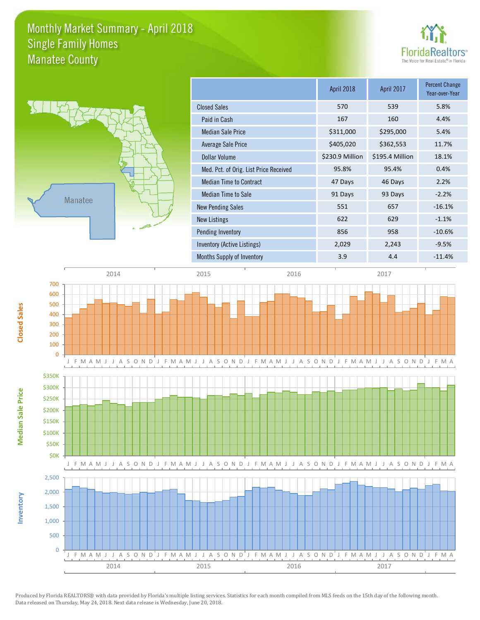### Monthly Market Summary - April 2018 Manatee County Single Family Homes





**Median Sale Price**

**Median Sale Price** 

**Closed Sales**

**Inventory**

|                                        | April 2018      | April 2017      | <b>Percent Change</b><br>Year-over-Year |
|----------------------------------------|-----------------|-----------------|-----------------------------------------|
| <b>Closed Sales</b>                    | 570             | 539             | 5.8%                                    |
| Paid in Cash                           | 167             | 160             | 4.4%                                    |
| <b>Median Sale Price</b>               | \$311,000       | \$295,000       | 5.4%                                    |
| Average Sale Price                     | \$405,020       | \$362,553       | 11.7%                                   |
| Dollar Volume                          | \$230.9 Million | \$195.4 Million | 18.1%                                   |
| Med. Pct. of Orig. List Price Received | 95.8%           | 95.4%           | 0.4%                                    |
| <b>Median Time to Contract</b>         | 47 Days         | 46 Days         | 2.2%                                    |
| Median Time to Sale                    | 91 Days         | 93 Days         | $-2.2%$                                 |
| <b>New Pending Sales</b>               | 551             | 657             | $-16.1%$                                |
| New Listings                           | 622             | 629             | $-1.1%$                                 |
| Pending Inventory                      | 856             | 958             | $-10.6%$                                |
| Inventory (Active Listings)            | 2,029           | 2,243           | $-9.5%$                                 |
| Months Supply of Inventory             | 3.9             | 4.4             | $-11.4%$                                |
|                                        |                 |                 |                                         |



Produced by Florida REALTORS® with data provided by Florida's multiple listing services. Statistics for each month compiled from MLS feeds on the 15th day of the following month. Data released on Thursday, May 24, 2018. Next data release is Wednesday, June 20, 2018.

2014 2015 2016 2017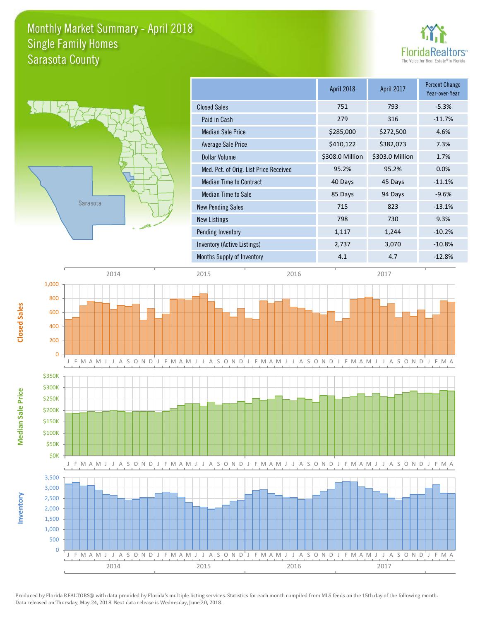### Monthly Market Summary - April 2018 Sarasota County Single Family Homes





**Median Sale Price**

Median Sale Price

**Closed Sales**

**Inventory**

|                                        | April 2018      | <b>April 2017</b> | <b>Percent Change</b><br>Year-over-Year |
|----------------------------------------|-----------------|-------------------|-----------------------------------------|
| <b>Closed Sales</b>                    | 751             | 793               | $-5.3%$                                 |
| Paid in Cash                           | 279             | 316               | $-11.7%$                                |
| <b>Median Sale Price</b>               | \$285,000       | \$272,500         | 4.6%                                    |
| Average Sale Price                     | \$410,122       | \$382,073         | 7.3%                                    |
| Dollar Volume                          | \$308.0 Million | \$303.0 Million   | 1.7%                                    |
| Med. Pct. of Orig. List Price Received | 95.2%           | 95.2%             | 0.0%                                    |
| <b>Median Time to Contract</b>         | 40 Days         | 45 Days           | $-11.1%$                                |
| Median Time to Sale                    | 85 Days         | 94 Days           | $-9.6%$                                 |
| <b>New Pending Sales</b>               | 715             | 823               | $-13.1%$                                |
| <b>New Listings</b>                    | 798             | 730               | 9.3%                                    |
| Pending Inventory                      | 1,117           | 1,244             | $-10.2%$                                |
| Inventory (Active Listings)            | 2,737           | 3,070             | $-10.8%$                                |
| Months Supply of Inventory             | 4.1             | 4.7               | $-12.8%$                                |



Produced by Florida REALTORS® with data provided by Florida's multiple listing services. Statistics for each month compiled from MLS feeds on the 15th day of the following month. Data released on Thursday, May 24, 2018. Next data release is Wednesday, June 20, 2018.

2014 2015 2016 2017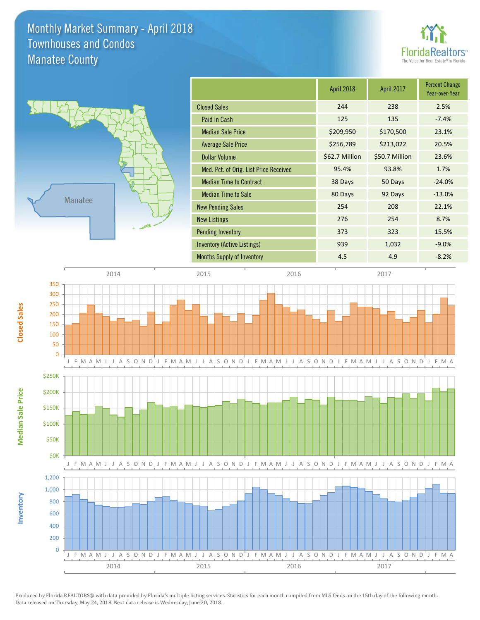### Monthly Market Summary - April 2018 Manatee County Townhouses and Condos





**Median Sale Price**

**Median Sale Price** 

**Closed Sales**

**Inventory**

| April 2018     | April 2017     | <b>Percent Change</b><br>Year-over-Year |
|----------------|----------------|-----------------------------------------|
| 244            | 238            | 2.5%                                    |
| 125            | 135            | $-7.4%$                                 |
| \$209,950      | \$170,500      | 23.1%                                   |
| \$256,789      | \$213,022      | 20.5%                                   |
| \$62.7 Million | \$50.7 Million | 23.6%                                   |
| 95.4%          | 93.8%          | 1.7%                                    |
| 38 Days        | 50 Days        | $-24.0%$                                |
| 80 Days        | 92 Days        | $-13.0%$                                |
| 254            | 208            | 22.1%                                   |
| 276            | 254            | 8.7%                                    |
| 373            | 323            | 15.5%                                   |
| 939            | 1,032          | $-9.0%$                                 |
| 4.5            | 4.9            | $-8.2%$                                 |
|                |                |                                         |



Produced by Florida REALTORS® with data provided by Florida's multiple listing services. Statistics for each month compiled from MLS feeds on the 15th day of the following month. Data released on Thursday, May 24, 2018. Next data release is Wednesday, June 20, 2018.

2014 2015 2016 2017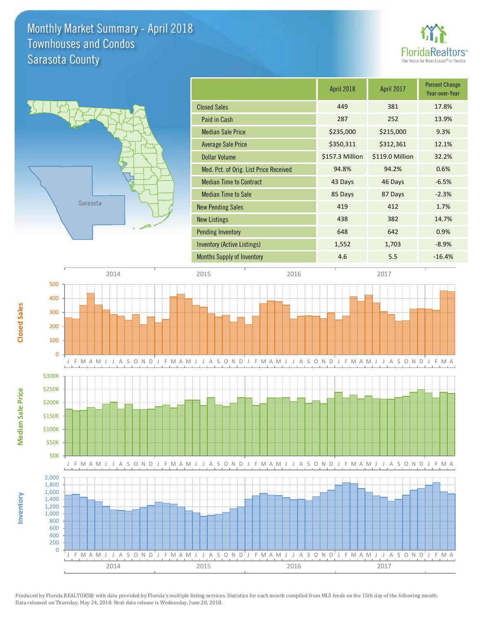### Monthly Market Summary - April 2018 Sarasota County Townhouses and Condos





**Median Sale Price**

**Median Sale Price** 

**Closed Sales**

**Inventory**

|                                        | April 2018      | April 2017      | <b>Percent Change</b><br>Year-over-Year |
|----------------------------------------|-----------------|-----------------|-----------------------------------------|
| <b>Closed Sales</b>                    | 449             | 381             | 17.8%                                   |
| Paid in Cash                           | 287             | 252             | 13.9%                                   |
| <b>Median Sale Price</b>               | \$235,000       | \$215,000       | 9.3%                                    |
| Average Sale Price                     | \$350,311       | \$312,361       | 12.1%                                   |
| <b>Dollar Volume</b>                   | \$157.3 Million | \$119.0 Million | 32.2%                                   |
| Med. Pct. of Orig. List Price Received | 94.8%           | 94.2%           | 0.6%                                    |
| <b>Median Time to Contract</b>         | 43 Days         | 46 Days         | $-6.5%$                                 |
| <b>Median Time to Sale</b>             | 85 Days         | 87 Days         | $-2.3%$                                 |
| <b>New Pending Sales</b>               | 419             | 412             | 1.7%                                    |
| <b>New Listings</b>                    | 438             | 382             | 14.7%                                   |
| <b>Pending Inventory</b>               | 648             | 642             | 0.9%                                    |
| Inventory (Active Listings)            | 1,552           | 1,703           | $-8.9%$                                 |
| <b>Months Supply of Inventory</b>      | 4.6             | 5.5             | $-16.4%$                                |

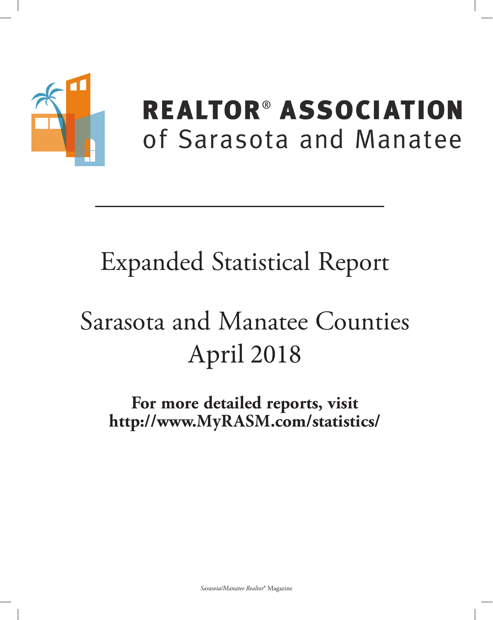

## **REALTOR® ASSOCIATION** of Sarasota and Manatee

## **Expanded Statistical Report**

# Sarasota and Manatee Counties April 2018

For more detailed reports, visit http://www.MyRASM.com/statistics/

Sarasota/Manatee Realtor® Magazine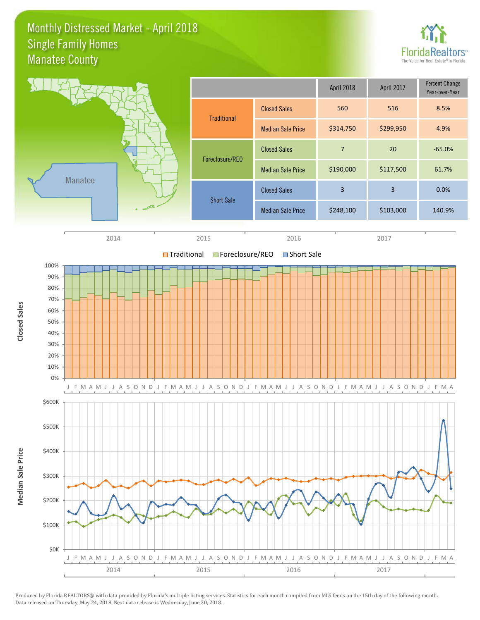### Monthly Distressed Market - April 2018 Manatee County Single Family Homes



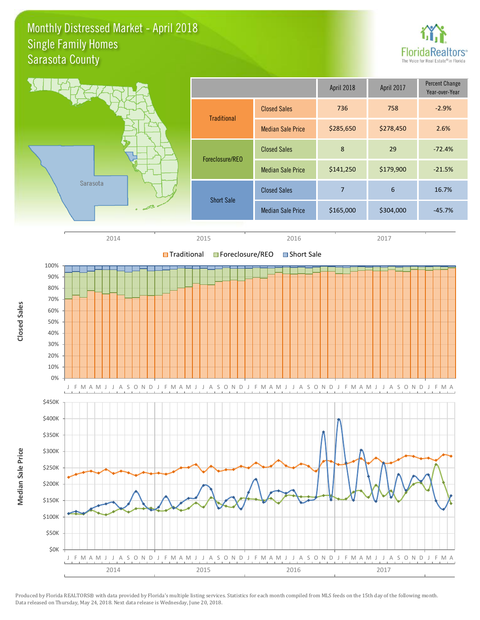### Monthly Distressed Market - April 2018 Sarasota County Single Family Homes



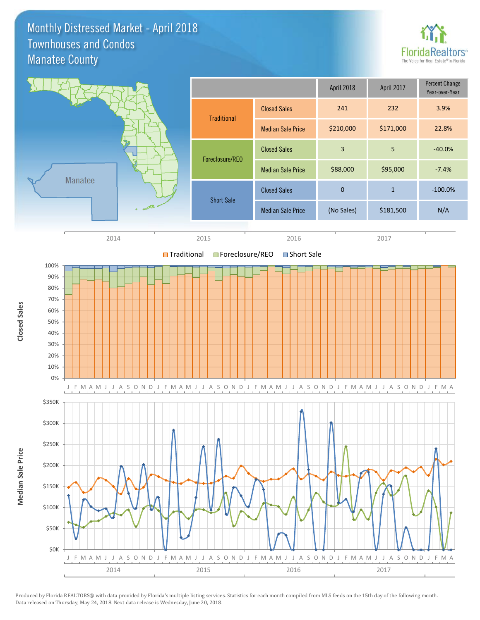Monthly Distressed Market - April 2018 Manatee County Townhouses and Condos